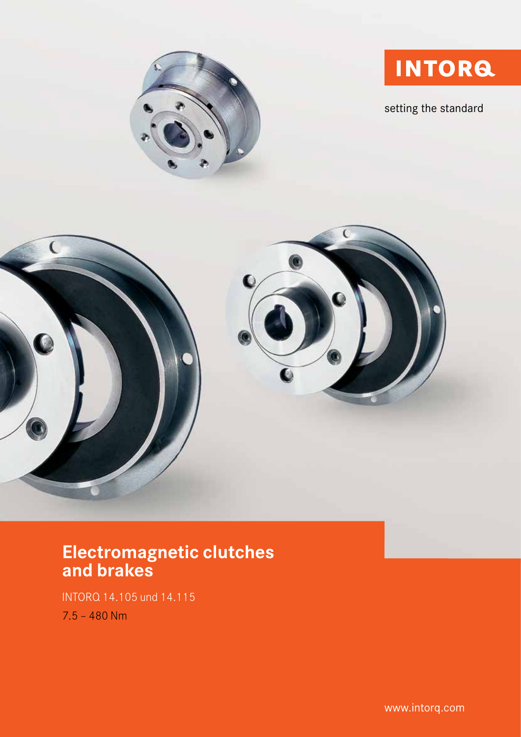

setting the standard





# Electromagnetic clutches and brakes

INTORQ 14.105 und 14.115 7.5 – 480 Nm

www.intorq.com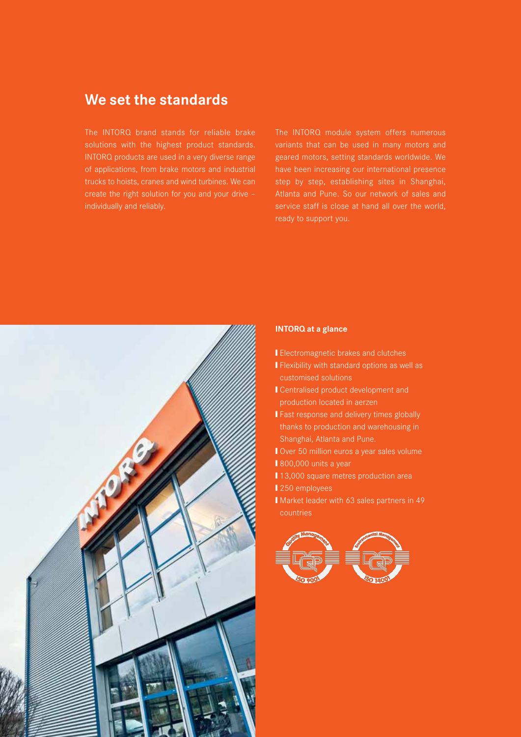# We set the standards

The INTORQ brand stands for reliable brake solutions with the highest product standards. INTORQ products are used in a very diverse range of applications, from brake motors and industrial trucks to hoists, cranes and wind turbines. We can create the right solution for you and your drive – individually and reliably.

The INTORQ module system offers numerous geared motors, setting standards worldwide. We have been increasing our international presence step by step, establishing sites in Shanghai, Atlanta and Pune. So our network of sales and service staff is close at hand all over the world, ready to support you.



#### INTORQ at a glance

- **■** Electromagnetic brakes and clutches
- Flexibility with standard options as well as customised solutions
- **Ⅰ Centralised product development and** production located in aerzen
- **Fast response and delivery times globally** thanks to production and warehousing in Shanghai, Atlanta and Pune.
- Over 50 million euros a year sales volume
- 800,000 units a year
- 13,000 square metres production area
- 250 employees
- Market leader with 63 sales partners in 49 countries

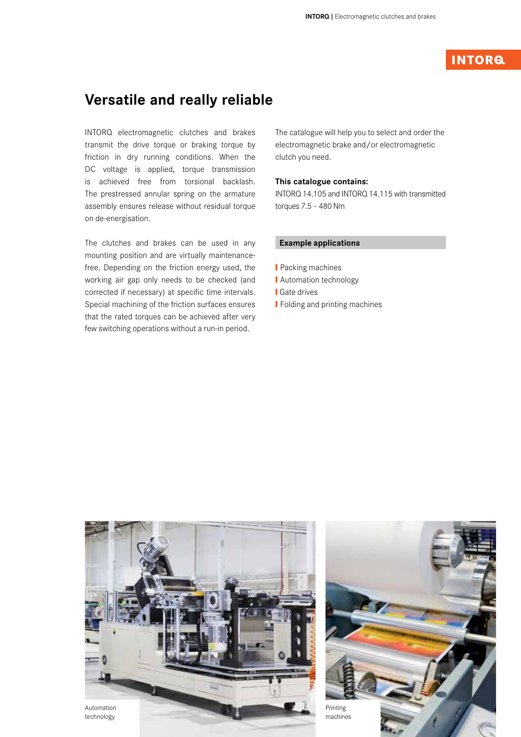# **INTORG**

# Versatile and really reliable

INTORQ electromagnetic clutches and brakes transmit the drive torque or braking torque by friction in dry running conditions. When the DC voltage is applied, torque transmission is achieved free from torsional backlash. The prestressed annular spring on the armature assembly ensures release without residual torque on de-energisation.

The clutches and brakes can be used in any mounting position and are virtually maintenancefree. Depending on the friction energy used, the working air gap only needs to be checked (and corrected if necessary) at specific time intervals. Special machining of the friction surfaces ensures that the rated torques can be achieved after very few switching operations without a run-in period.

The catalogue will help you to select and order the electromagnetic brake and/or electromagnetic clutch you need.

#### This catalogue contains:

INTORQ 14.105 and INTORQ 14.115 with transmitted torques 7.5 – 480 Nm

### Example applications

- **■** Packing machines
- **I** Automation technology
- **■** Gate drives
- **■** Folding and printing machines



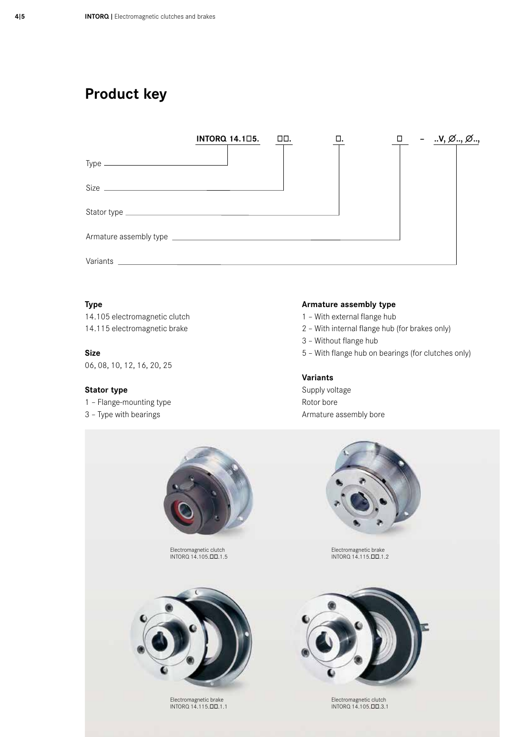# Product key



### Type

14.105 electromagnetic clutch 14.115 electromagnetic brake

Size 06, 08, 10, 12, 16, 20, 25

### Stator type

1 – Flange-mounting type

3 – Type with bearings

#### Armature assembly type

- 1 With external flange hub
- 2 With internal flange hub (for brakes only)
- 3 Without flange hub
- 5 With flange hub on bearings (for clutches only)

### Variants

Supply voltage Rotor bore Armature assembly bore



Electromagnetic clutch INTORQ 14.105.*òò*.1.5



Electromagnetic brake INTORQ 14.115.*òò*.1.1



Electromagnetic brake INTORQ 14.115.*òò*.1.2



Electromagnetic clutch INTORQ 14.105.*òò*.3.1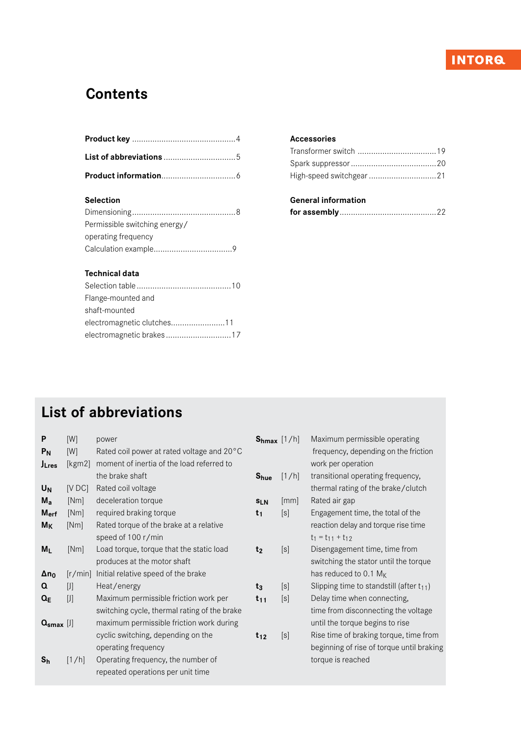# **INTORQ**

# **Contents**

# Selection

| Permissible switching energy/ |
|-------------------------------|
| operating frequency           |
|                               |

# Technical data

| Flange-mounted and         |  |
|----------------------------|--|
| shaft-mounted              |  |
| electromagnetic clutches11 |  |
|                            |  |

## Accessories

# General information

|--|--|--|--|

# List of abbreviations

| P<br>P <sub>N</sub><br><b>J</b> Lres | [W]<br>[W]<br>[kgm2] | power<br>Rated coil power at rated voltage and 20°C<br>moment of inertia of the load referred to | $S_{hmax}$ [1/h] |                    | Maximum permissible operating<br>frequency, depending on the friction<br>work per operation |
|--------------------------------------|----------------------|--------------------------------------------------------------------------------------------------|------------------|--------------------|---------------------------------------------------------------------------------------------|
|                                      |                      | the brake shaft                                                                                  | S <sub>hue</sub> | [1/h]              | transitional operating frequency,                                                           |
| U <sub>N</sub>                       | [VDC]                | Rated coil voltage                                                                               |                  |                    | thermal rating of the brake/clutch                                                          |
| $M_{a}$                              | [Nm]                 | deceleration torque                                                                              | <b>SLN</b>       | $\lceil mm \rceil$ | Rated air gap                                                                               |
| M <sub>erf</sub>                     | [Nm]                 | required braking torque                                                                          | t <sub>1</sub>   | [s]                | Engagement time, the total of the                                                           |
| $M_K$                                | [Nm]                 | Rated torque of the brake at a relative                                                          |                  |                    | reaction delay and torque rise time                                                         |
|                                      |                      | speed of 100 r/min                                                                               |                  |                    | $t_1 = t_{11} + t_{12}$                                                                     |
| $M_{L}$                              | [Nm]                 | Load torque, torque that the static load                                                         | t <sub>2</sub>   | [s]                | Disengagement time, time from                                                               |
|                                      |                      | produces at the motor shaft                                                                      |                  |                    | switching the stator until the torque                                                       |
| $\Delta n_0$                         | [r/min]              | Initial relative speed of the brake                                                              |                  |                    | has reduced to 0.1 $M_K$                                                                    |
| Q                                    | $[ \, ] \, ]$        | Heat/energy                                                                                      | $t_3$            | [s]                | Slipping time to standstill (after $t_{11}$ )                                               |
| $Q_{E}$                              | $[ \ ]$              | Maximum permissible friction work per                                                            | $t_{11}$         | [s]                | Delay time when connecting,                                                                 |
|                                      |                      | switching cycle, thermal rating of the brake                                                     |                  |                    | time from disconnecting the voltage                                                         |
| $Q_{\rm smax}$ [J]                   |                      | maximum permissible friction work during                                                         |                  |                    | until the torque begins to rise                                                             |
|                                      |                      | cyclic switching, depending on the                                                               | $t_{12}$         | [s]                | Rise time of braking torque, time from                                                      |
|                                      |                      | operating frequency                                                                              |                  |                    | beginning of rise of torque until braking                                                   |
| $S_h$                                | [1/h]                | Operating frequency, the number of                                                               |                  |                    | torque is reached                                                                           |
|                                      |                      | repeated operations per unit time                                                                |                  |                    |                                                                                             |
|                                      |                      |                                                                                                  |                  |                    |                                                                                             |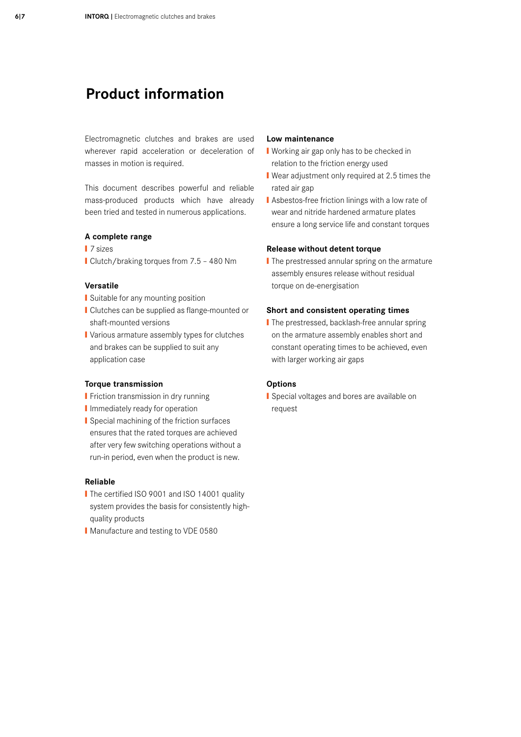# Product information

Electromagnetic clutches and brakes are used wherever rapid acceleration or deceleration of masses in motion is required.

This document describes powerful and reliable mass-produced products which have already been tried and tested in numerous applications.

#### A complete range

- **Ⅰ** 7 sizes
- Clutch/braking torques from 7.5 480 Nm

### Versatile

- **■** Suitable for any mounting position
- Clutches can be supplied as flange-mounted or shaft-mounted versions
- Various armature assembly types for clutches and brakes can be supplied to suit any application case

#### Torque transmission

- **■** Friction transmission in dry running
- **I** Immediately ready for operation
- Special machining of the friction surfaces ensures that the rated torques are achieved after very few switching operations without a run-in period, even when the product is new.

#### Reliable

- The certified ISO 9001 and ISO 14001 quality system provides the basis for consistently highquality products
- Manufacture and testing to VDE 0580

### Low maintenance

- Working air gap only has to be checked in relation to the friction energy used
- Wear adjustment only required at 2.5 times the rated air gap
- Asbestos-free friction linings with a low rate of wear and nitride hardened armature plates ensure a long service life and constant torques

#### Release without detent torque

**■** The prestressed annular spring on the armature assembly ensures release without residual torque on de-energisation

### Short and consistent operating times

**Ⅰ** The prestressed, backlash-free annular spring on the armature assembly enables short and constant operating times to be achieved, even with larger working air gaps

#### **Options**

■ Special voltages and bores are available on request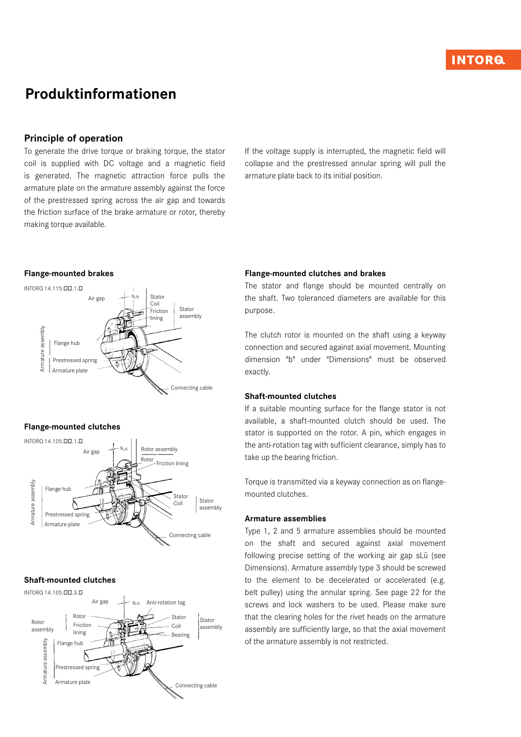# Produktinformationen

## Principle of operation

To generate the drive torque or braking torque, the stator coil is supplied with DC voltage and a magnetic field is generated. The magnetic attraction force pulls the armature plate on the armature assembly against the force of the prestressed spring across the air gap and towards the friction surface of the brake armature or rotor, thereby making torque available.

If the voltage supply is interrupted, the magnetic field will collapse and the prestressed annular spring will pull the armature plate back to its initial position.

### Flange-mounted brakes



#### Flange-mounted clutches



### Shaft-mounted clutches



#### Flange-mounted clutches and brakes

The stator and flange should be mounted centrally on the shaft. Two toleranced diameters are available for this purpose.

The clutch rotor is mounted on the shaft using a keyway connection and secured against axial movement. Mounting dimension "b" under "Dimensions" must be observed exactly.

#### Shaft-mounted clutches

If a suitable mounting surface for the flange stator is not available, a shaft-mounted clutch should be used. The stator is supported on the rotor. A pin, which engages in the anti-rotation tag with sufficient clearance, simply has to take up the bearing friction.

Torque is transmitted via a keyway connection as on flangemounted clutches.

#### Armature assemblies

Type 1, 2 and 5 armature assemblies should be mounted on the shaft and secured against axial movement following precise setting of the working air gap sLü (see Dimensions). Armature assembly type 3 should be screwed to the element to be decelerated or accelerated (e.g. belt pulley) using the annular spring. See page 22 for the screws and lock washers to be used. Please make sure that the clearing holes for the rivet heads on the armature assembly are sufficiently large, so that the axial movement of the armature assembly is not restricted.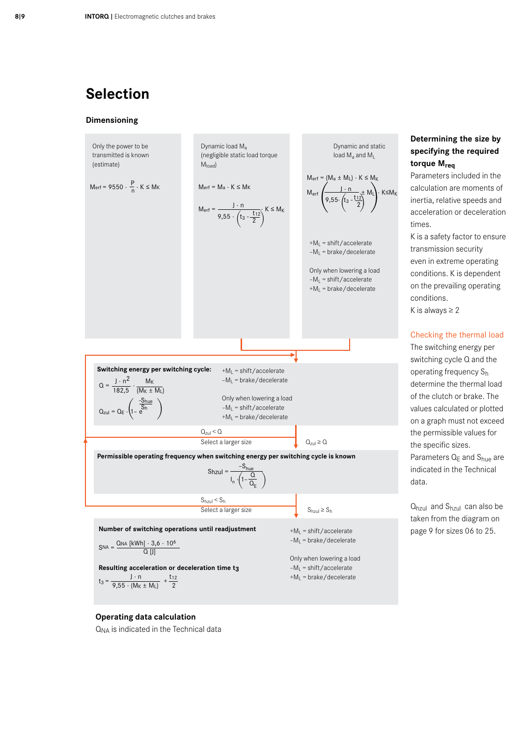# Selection

#### Dimensioning



## Operating data calculation

 $Q_{NA}$  is indicated in the Technical data

# Determining the size by specifying the required torque M<sub>req</sub>

Parameters included in the calculation are moments of inertia, relative speeds and acceleration or deceleration times.

K is a safety factor to ensure transmission security even in extreme operating conditions. K is dependent on the prevailing operating conditions.

K is always  $\geq 2$ 

### Checking the thermal load

The switching energy per switching cycle Q and the operating frequency Sh determine the thermal load of the clutch or brake. The values calculated or plotted on a graph must not exceed the permissible values for the specific sizes. Parameters  $Q_E$  and  $S_{hue}$  are indicated in the Technical data.

Qhzul and Shzul can also be taken from the diagram on page 9 for sizes 06 to 25.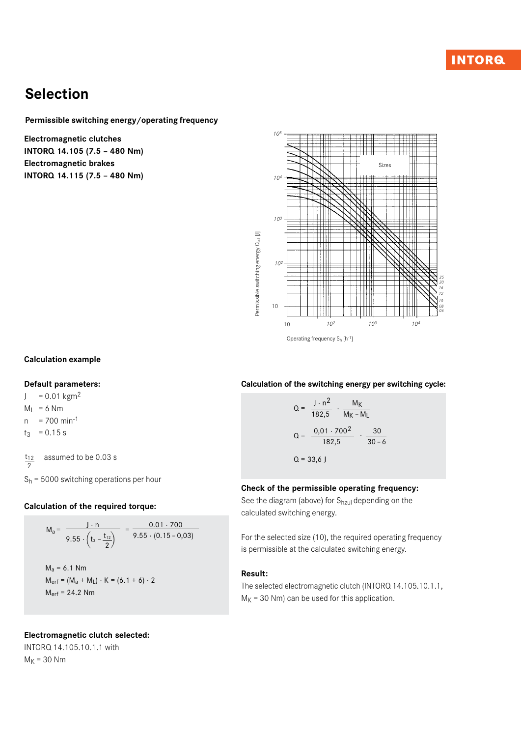# Selection

Permissible switching energy/operating frequency

Electromagnetic clutches INTORQ 14.105 (7.5 – 480 Nm) Electromagnetic brakes INTORQ 14.115 (7.5 – 480 Nm)



## Calculation example

### Default parameters:

 $J = 0.01$  kgm<sup>2</sup>

 $M_1 = 6$  Nm

 $n = 700$  min<sup>-1</sup>

 $t_3$  = 0.15 s

 assumed to be 0.03 s  $t_{12}$ 2

 $S_h$  = 5000 switching operations per hour

### Calculation of the required torque:

$$
M_a = \frac{J \cdot n}{9.55 \cdot (t_3 - \frac{t_{12}}{2})} = \frac{0.01 \cdot 700}{9.55 \cdot (0.15 - 0.03)}
$$
  
\n
$$
M_a = 6.1 \text{ Nm}
$$
  
\n
$$
M_{\text{erf}} = (M_a + M_L) \cdot K = (6.1 + 6) \cdot 2
$$
  
\n
$$
M_{\text{erf}} = 24.2 \text{ Nm}
$$

### Electromagnetic clutch selected:

INTORQ 14.105.10.1.1 with  $M_K$  = 30 Nm

### Calculation of the switching energy per switching cycle:

$$
Q = \frac{J \cdot n^2}{182,5} \cdot \frac{M_K}{M_K - M_L}
$$
  

$$
Q = \frac{0,01 \cdot 700^2}{182,5} \cdot \frac{30}{30 - 6}
$$
  

$$
Q = 33,6 \text{ J}
$$

#### Check of the permissible operating frequency:

See the diagram (above) for  $S<sub>hzul</sub>$  depending on the calculated switching energy.

For the selected size (10), the required operating frequency is permissible at the calculated switching energy.

## Result:

The selected electromagnetic clutch (INTORQ 14.105.10.1.1,  $M_K$  = 30 Nm) can be used for this application.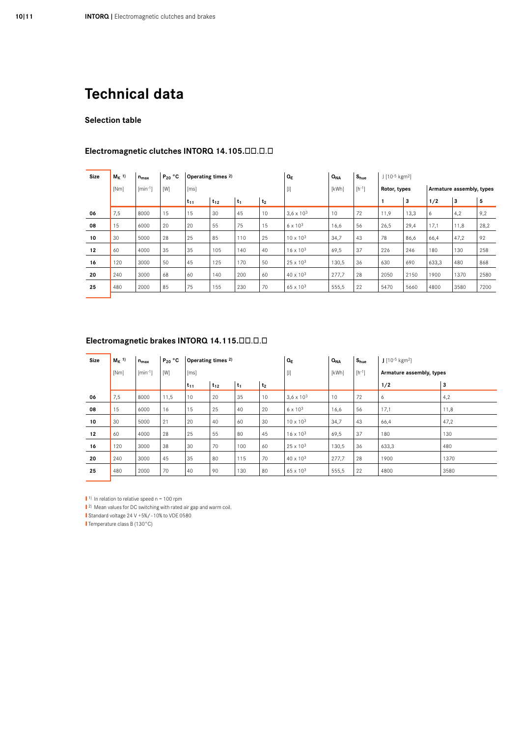## Selection table

| Size | $M_K$ <sup>1)</sup> | $n_{max}$    | $P_{20}$ °C |          | Operating times 2) |       |                | $Q_E$               | $Q_{NA}$   | S <sub>hue</sub> | $J$ [10-5 kgm <sup>2</sup> ] |                          |       |      |      |
|------|---------------------|--------------|-------------|----------|--------------------|-------|----------------|---------------------|------------|------------------|------------------------------|--------------------------|-------|------|------|
|      | [Nm]                | $[min^{-1}]$ | [W]         | [ms]     |                    |       | $[]$           | [kWh]               | $[h^{-1}]$ | Rotor, types     |                              | Armature assembly, types |       |      |      |
|      |                     |              |             | $t_{11}$ | $t_{12}$           | $t_1$ | t <sub>2</sub> |                     |            |                  |                              | 3                        | 1/2   | 3    | 5    |
| 06   | 7,5                 | 8000         | 15          | 15       | 30                 | 45    | 10             | $3,6 \times 10^{3}$ | 10         | 72               | 11,9                         | 13,3                     | 6     | 4,2  | 9,2  |
| 08   | 15                  | 6000         | 20          | 20       | 55                 | 75    | 15             | $6 \times 10^{3}$   | 16,6       | 56               | 26,5                         | 29,4                     | 17,1  | 11,8 | 28,2 |
| 10   | 30                  | 5000         | 28          | 25       | 85                 | 110   | 25             | $10 \times 10^{3}$  | 34,7       | 43               | 78                           | 86,6                     | 66,4  | 47,2 | 92   |
| 12   | 60                  | 4000         | 35          | 35       | 105                | 140   | 40             | $16 \times 10^{3}$  | 69,5       | 37               | 226                          | 246                      | 180   | 130  | 258  |
| 16   | 120                 | 3000         | 50          | 45       | 125                | 170   | 50             | $25 \times 10^{3}$  | 130,5      | 36               | 630                          | 690                      | 633,3 | 480  | 868  |
| 20   | 240                 | 3000         | 68          | 60       | 140                | 200   | 60             | $40 \times 10^{3}$  | 277,7      | 28               | 2050                         | 2150                     | 1900  | 1370 | 2580 |
| 25   | 480                 | 2000         | 85          | 75       | 155                | 230   | 70             | $65 \times 10^{3}$  | 555,5      | 22               | 5470                         | 5660                     | 4800  | 3580 | 7200 |
|      |                     |              |             |          |                    |       |                |                     |            |                  |                              |                          |       |      |      |

# Electromagnetic clutches INTORQ 14.105.<sup>ob</sup>.o

## Electromagnetic brakes INTORQ 14.115.<sup>ob</sup>.o.b

| Size | $M_K$ <sup>1)</sup> | $n_{max}$    | $P_{20}$ °C |                       | Operating times <sup>2)</sup>       |     |                    | $Q_E$               | Q <sub>NA</sub> | S <sub>hue</sub> | $1^{10^{-5} \text{ kg}^{-2}}$ |      |  |
|------|---------------------|--------------|-------------|-----------------------|-------------------------------------|-----|--------------------|---------------------|-----------------|------------------|-------------------------------|------|--|
|      | [Nm]                | $[min^{-1}]$ | [W]         | [ms]                  |                                     |     |                    | $[]$                | [kWh]           | $[h^{-1}]$       | Armature assembly, types      |      |  |
|      |                     |              |             | $t_{11}$              | t <sub>2</sub><br>$t_{12}$<br>$t_1$ |     |                    |                     |                 | 1/2              | 3                             |      |  |
| 06   | 7,5                 | 8000         | 11,5        | 10                    | 20                                  | 35  | 10                 | $3,6 \times 10^{3}$ | 10              | 72               | 6                             | 4,2  |  |
| 08   | 15                  | 6000         | 16          | 15                    | 25                                  | 40  | 20                 | $6 \times 10^{3}$   | 16,6            | 56               | 17,1                          | 11,8 |  |
| 10   | 30                  | 5000         | 21          | 20                    | 40                                  | 60  | 30                 | $10 \times 10^{3}$  | 34,7            | 43               | 66,4                          | 47,2 |  |
| 12   | 60                  | 4000         | 28          | 25                    | 55                                  | 80  | 45                 | $16 \times 10^{3}$  | 69,5            | 37               | 180                           | 130  |  |
| 16   | 120                 | 3000         | 38          | 30                    | 70                                  | 100 | 60                 | $25 \times 10^{3}$  | 130,5           | 36               | 633,3                         | 480  |  |
| 20   | 240                 | 3000         | 45          | 35<br>70<br>80<br>115 |                                     |     | $40 \times 10^{3}$ | 277,7               | 28              | 1900             | 1370                          |      |  |
| 25   | 480                 | 2000         | 70          | 40                    | 90                                  | 130 | 80                 | 65 x 103            | 555,5           | 22               | 4800                          | 3580 |  |
|      |                     |              |             |                       |                                     |     |                    |                     |                 |                  |                               |      |  |

 $\blacksquare$ <sup>1)</sup> In relation to relative speed n = 100 rpm

■<sup>2)</sup> Mean values for DC switching with rated air gap and warm coil.

❙ Standard voltage 24 V +5%/–10% to VDE 0580

■ Temperature class B (130°C)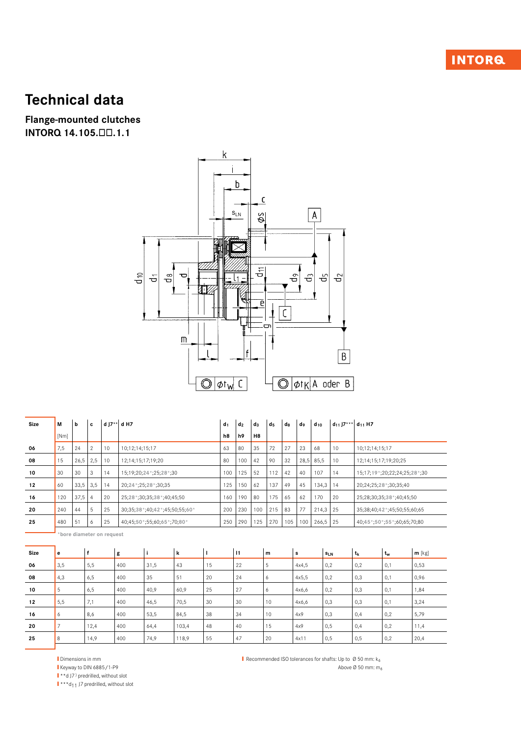# **INTORQ**

# **Technical data**

**Flange-mounted clutches** INTORQ 14.105.00.1.1



| Size | М    | b    | c              | d J7** | d H7                          | d <sub>1</sub> | d <sub>2</sub> | $d_3$          | d <sub>5</sub> | dg  | do        | $d_{10}$ | $d_{11}$ J7*** $d_{11}$ H7 |                                |
|------|------|------|----------------|--------|-------------------------------|----------------|----------------|----------------|----------------|-----|-----------|----------|----------------------------|--------------------------------|
|      | [Nm] |      |                |        |                               | h <sub>8</sub> | h <sub>9</sub> | H <sub>8</sub> |                |     |           |          |                            |                                |
| 06   | 7,5  | 24   | $\overline{2}$ | 10     | 10:12:14:15:17                | 63             | 80             | 35             | 72             | 27  | 23        | 68       | 10                         | 10:12:14:15:17                 |
| 08   | 15   | 26,5 | 2,5            | 10     | 12;14;15;17;19;20             | 80             | 100            | 42             | 90             | 32  | 28,5 85,5 |          | 10                         | 12;14;15;17;19;20;25           |
| 10   | 30   | 30   | 3              | 14     | 15:19:20:24 *: 25:28 *: 30    | 100            | 125            | 52             | 112            | 42  | 40        | 107      | 14                         | 15;17;19 *;20;22;24;25;28 *;30 |
| 12   | 60   | 33,5 | 3,5            | 14     | 20;24 *: 25;28 *: 30;35       | 125            | 150            | 62             | 137            | 49  | 45        | 134,3    | 14                         | 20;24;25;28 *;30;35;40         |
| 16   | 120  | 37,5 | 4              | 20     | 25;28 *: 30;35;38 *: 40;45;50 | 160            | 190            | 80             | 175            | 65  | 62        | 170      | 20                         | 25;28;30;35;38 *;40;45;50      |
| 20   | 240  | 44   | 5              | 25     | 30;35;38*;40;42*;45;50;55;60* | 200            | 230            | 100            | 215            | 83  | 77        | 214,3    | 25                         | 35;38;40;42 *;45;50;55;60;65   |
| 25   | 480  | 51   | $\circ$        | 25     | 40;45;50*;55;60;65*;70;80*    | 250            | 290            | 125            | 270            | 105 | 100       | 266,5    | 25                         | 40;45 * 50 * 55 * 60;65;70;80  |
|      |      |      |                |        |                               |                |                |                |                |     |           |          |                            |                                |

bore diameter on request

| Size | e   |      | g   |      | k     |    | $\overline{11}$ | m  | s     | $s_{LN}$ | $t_{k}$ | t <sub>w</sub> | $m$ [kg] |
|------|-----|------|-----|------|-------|----|-----------------|----|-------|----------|---------|----------------|----------|
| 06   | 3,5 | 5,5  | 400 | 31,5 | 43    | 15 | 22              | b  | 4x4,5 | 0,2      | 0,2     | 0,1            | 0,53     |
| 08   | 4,3 | 6,5  | 400 | 35   | 51    | 20 | 24              | O  | 4x5,5 | 0,2      | 0,3     | 0,1            | 0,96     |
| 10   | 5   | 6,5  | 400 | 40,9 | 60,9  | 25 | 27              | 6  | 4x6,6 | 0,2      | 0,3     | 0,1            | 1,84     |
| 12   | 5,5 | 17,1 | 400 | 46,5 | 70,5  | 30 | 30              | 10 | 4x6,6 | 0,3      | 0,3     | 0,1            | 3,24     |
| 16   | 6   | 8,6  | 400 | 53,5 | 84,5  | 38 | 34              | 10 | 4x9   | 0,3      | 0,4     | 0,2            | 5,79     |
| 20   |     | 12,4 | 400 | 64,4 | 103,4 | 48 | 40              | 15 | 4x9   | 0,5      | 0,4     | 0,2            | 11,4     |
| 25   | 8   | 14,9 | 400 | 74,9 | 118,9 | 55 | 47              | 20 | 4x11  | 0,5      | 0,5     | 0,2            | 20,4     |

Dimensions in mm

Keyway to DIN 6885/1-P9

 $\mathbf{I} \cdot \mathbf{A}$  J7) predrilled, without slot

 $\mathbf{I}$  \*\*\* $\mathsf{d}_{11}$  J7 predrilled, without slot

Recommended ISO tolerances for shafts: Up to  $\emptyset$  50 mm: k<sub>6</sub> Above Ø 50 mm: m<sub>6</sub>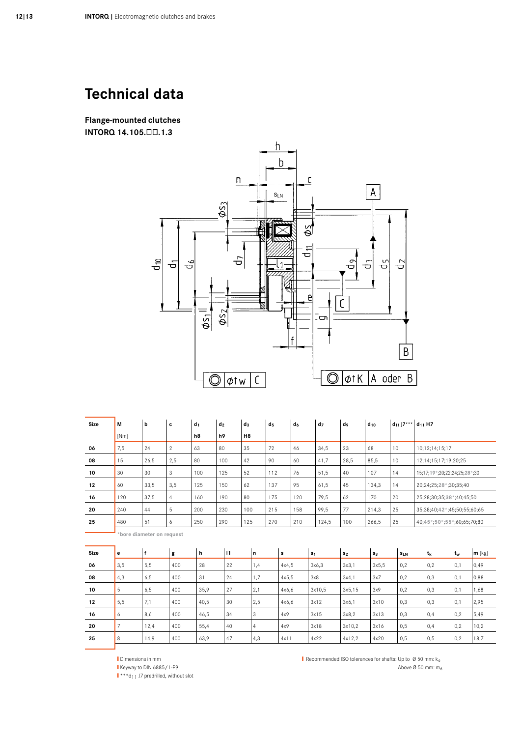**Flange-mounted clutches** INTORQ 14.105.00.1.3



| <b>Size</b> | М    | b                         | c              | $d_1$ | d <sub>2</sub> | $d_3$          | d <sub>5</sub> | d <sub>6</sub> | d <sub>7</sub> | do   | $d_{10}$ | $d_{11}$ J7*** $d_{11}$ H7 |                               |  |  |  |
|-------------|------|---------------------------|----------------|-------|----------------|----------------|----------------|----------------|----------------|------|----------|----------------------------|-------------------------------|--|--|--|
|             | [Nm] |                           |                | h8    | h9             | H <sub>8</sub> |                |                |                |      |          |                            |                               |  |  |  |
| 06          | 7,5  | 24                        | $\overline{2}$ | 63    | 80             | 35             | 72             | 46             | 34,5           | 23   | 68       | 10                         | 10;12;14;15;17                |  |  |  |
| 08          | 15   | 26,5                      | 2,5            | 80    | 100            | 42             | 90             | 60             | 41,7           | 28,5 | 85,5     | 10                         | 12;14;15;17;19;20;25          |  |  |  |
| 10          | 30   | 30                        | 3              | 100   | 125            | 52             | 112            | 76             | 51,5           | 40   | 107      | 14                         | 15;17;19*;20;22;24;25;28*;30  |  |  |  |
| 12          | 60   | 33,5                      | 3,5            | 125   | 150            | 62             | 137            | 95             | 61,5           | 45   | 134,3    | 14                         | 20;24;25;28 *;30;35;40        |  |  |  |
| 16          | 120  | 37,5                      | $\overline{4}$ | 160   | 190            | 80             | 175            | 120            | 79,5           | 62   | 170      | 20                         | 25;28;30;35;38 *;40;45;50     |  |  |  |
| 20          | 240  | 44                        | 5              | 200   | 230            | 100            | 215            | 158            | 99,5           | 77   | 214,3    | 25                         | 35;38;40;42*;45;50;55;60;65   |  |  |  |
| 25          | 480  | 51                        | 6              | 250   | 290            | 125            | 270            | 210            | 124,5          | 100  | 266,5    | 25                         | 40;45 * 50 * 55 *;60;65;70;80 |  |  |  |
|             |      | *bore diameter on request |                |       |                |                |                |                |                |      |          |                            |                               |  |  |  |

| Size | е   |      | g   | h    | $\vert$ 1 | 'n             | s     | S <sub>1</sub> | s <sub>2</sub> | $s_{3}$ | $s_{LN}$ | t <sub>k</sub> | $t_w$ | $m$ [kg] |
|------|-----|------|-----|------|-----------|----------------|-------|----------------|----------------|---------|----------|----------------|-------|----------|
|      |     |      |     |      |           |                |       |                |                |         |          |                |       |          |
| 06   | 3,5 | 5,5  | 400 | 28   | 22        | 1,4            | 4x4,5 | 3x6.3          | 3x3,1          | 3x5,5   | 0,2      | 0,2            | 0,1   | 0,49     |
| 08   | 4,3 | 6,5  | 400 | 31   | 24        | 1,7            | 4x5,5 | 3x8            | 3x4,1          | 3x7     | 0,2      | 0,3            | 0,1   | 0,88     |
| 10   | 5   | 6,5  | 400 | 35,9 | 27        | 2,1            | 4x6,6 | 3x10.5         | 3x5,15         | 3x9     | 0,2      | 0,3            | 0,1   | 1,68     |
| 12   | 5,5 | 7,1  | 400 | 40,5 | 30        | 2,5            | 4x6,6 | 3x12           | 3x6,1          | 3x10    | 0,3      | 0,3            | 0,1   | 2,95     |
| 16   | O   | 8,6  | 400 | 46,5 | 34        | 3              | 4x9   | 3x15           | 3x8.2          | 3x13    | 0,3      | 0,4            | 0,2   | 5,49     |
| 20   |     | 12,4 | 400 | 55,4 | 40        | $\overline{4}$ | 4x9   | 3x18           | 3x10.2         | 3x16    | 0,5      | 0,4            | 0,2   | 10,2     |
| 25   | 8   | 14,9 | 400 | 63,9 | 47        | 4,3            | 4x11  | 4x22           | 4x12,2         | 4x20    | 0,5      | 0,5            | 0,2   | 18,7     |

Dimensions in mm

Keyway to DIN 6885/1-P9

 $\mathbf{I}$  \*\*\*d<sub>11</sub> J7 predrilled, without slot

Recommended ISO tolerances for shafts: Up to  $\varnothing$  50 mm:  $k_6$ Above Ø 50 mm: m<sub>6</sub>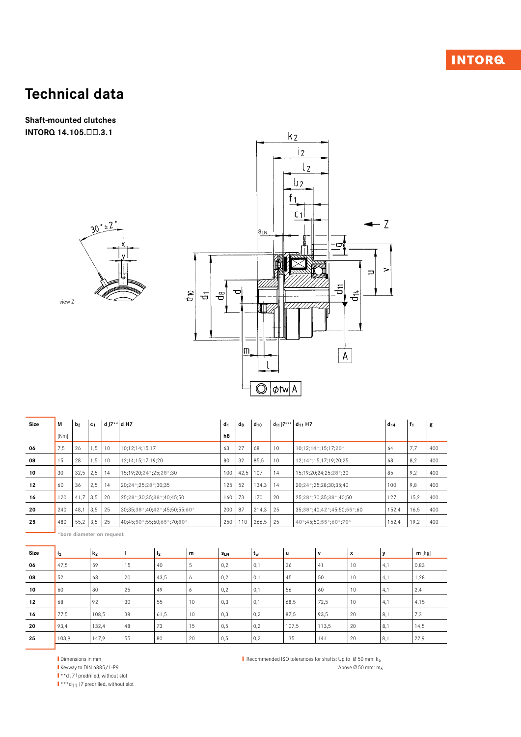**Shaft-mounted clutches** INTORQ 14.105.00.3.1





| Size | М    | b <sub>2</sub> | c <sub>1</sub> | d J7** d H7 |                                    | $d_1$ | $d_8$ | $d_{10}$ | $d_{11}$ J7*** | $d_{11}$ H7                  | $d_{14}$ | $f_1$ | g   |
|------|------|----------------|----------------|-------------|------------------------------------|-------|-------|----------|----------------|------------------------------|----------|-------|-----|
|      | [Nm] |                |                |             |                                    | h8    |       |          |                |                              |          |       |     |
| 06   | 7,5  | 26             | 1,5            | 10          | 10;12;14;15;17                     | 63    | 27    | 68       | 10             | 10;12;14*;15;17;20*          | 64       | 7,7   | 400 |
| 08   | 15   | 28             | 1,5            | 10          | 12;14;15;17;19;20                  | 80    | 32    | 85,5     | 10             | 12; 14 *; 15; 17; 19; 20; 25 | 68       | 8,2   | 400 |
| 10   | 30   | 32,5           | 2,5            | 14          | 15;19;20;24*;25;28*;30             | 100   | 42,5  | 107      | 14             | 15;19;20;24;25;28*;30        | 85       | 9,2   | 400 |
| 12   | 60   | 36             | 2,5            | 14          | 20;24*;25;28*;30;35                | 125   | 52    | 134,3    | 14             | 20;24 *;25;28;30;35;40       | 100      | 9,8   | 400 |
| 16   | 120  | $41,7$ 3.5     |                | 20          | 25;28 *;30;35;38 *;40;45;50        | 160   | 73    | 170      | 20             | 25;28 *;30;35;38 *;40;50     | 127      | 15,2  | 400 |
| 20   | 240  | 48,1           | 3,5            | 25          | 30;35;38 *: 40;42 *: 45;50;55;60 * | 200   | 87    | 214,3    | 25             | 35;38*;40;42*;45;50;55*;60   | 152,4    | 16.5  | 400 |
| 25   | 480  | $55,2$ 3,5     |                | 25          | 40;45;50 *;55;60;65 *;70;80 *      | 250   | 110   | 266,5    | 25             | 40*;45;50;55*;60*;70*        | 152,4    | 19,2  | 400 |

 $\blacksquare$  \*bore diameter on request

| Size | 12    | k <sub>2</sub> |    | 12   | m  | $s_{LN}$ | t <sub>w</sub> | u     | $\mathbf v$ | x  | v   | $m$ [kg] |
|------|-------|----------------|----|------|----|----------|----------------|-------|-------------|----|-----|----------|
| 06   | 47,5  | 59             | 15 | 40   | 5  | 0,2      | 0,1            | 36    | 41          | 10 | 4,1 | 0,83     |
| 08   | 52    | 68             | 20 | 43,5 | 6  | 0,2      | 0,1            | 45    | 50          | 10 | 4,1 | 1,28     |
| 10   | 60    | 80             | 25 | 49   | 6  | 0,2      | 0,1            | 56    | 60          | 10 | 4,1 | 2,4      |
| 12   | 68    | 92             | 30 | 55   | 10 | 0,3      | 0,1            | 68,5  | 72,5        | 10 | 4,1 | 4,15     |
| 16   | 77,5  | 108,5          | 38 | 61,5 | 10 | 0,3      | 0,2            | 87,5  | 93,5        | 20 | 8,1 | 7,3      |
| 20   | 93,4  | 132,4          | 48 | 73   | 15 | 0,5      | 0,2            | 107,5 | 113,5       | 20 | 8,1 | 14,5     |
| 25   | 103,9 | 147,9          | 55 | 80   | 20 | 0,5      | 0,2            | 135   | 141         | 20 | 8,1 | 22,9     |

Dimensions in mm

Keyway to DIN 6885/1-P9

I \*\* d J7 ) predrilled, without slot

 $\mathbf{I}$  \*\*\*d<sub>11</sub> J7 predrilled, without slot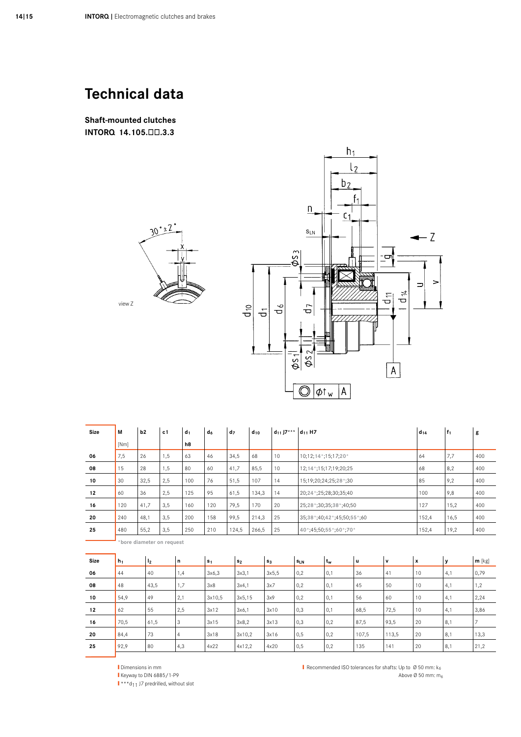**Shaft-mounted clutches** INTORQ 14.105.00.3.3





| Size        | М     | b2                       | c <sub>1</sub> | $d_1$ | $d_6$          | d <sub>7</sub> | $d_{10}$ | $d_{11}$ J7*** $d_{11}$ H7 | $d_{14}$                               |   | $ f_1 $ | g        |
|-------------|-------|--------------------------|----------------|-------|----------------|----------------|----------|----------------------------|----------------------------------------|---|---------|----------|
|             | [Nm]  |                          |                | h8    |                |                |          |                            |                                        |   |         |          |
| 06          | 7,5   | 26                       | 1,5            | 63    | 46             | 34,5           | 68       | 10                         | 64<br>10;12;14*;15;17;20*              |   | 7,7     | 400      |
| 08          | 15    | 28                       | 1,5            | 80    | 60             | 41,7           | 85,5     | 10                         | 68<br>12; 14 *; 15; 17; 19; 20; 25     |   | 8,2     | 400      |
| 10          | 30    | 32,5                     | 2,5            | 100   | 76             | 51,5           | 107      | 14                         | 85<br>15;19;20;24;25;28*;30            |   | 9,2     | 400      |
| 12          | 60    | 36                       | 2,5            | 125   | 95             | 61,5           | 134,3    | 14                         | 100<br>20;24*;25;28;30;35;40           |   | 9,8     | 400      |
| 16          | 120   | 41,7                     | 3,5            | 160   | 120            | 79,5           | 170      | 20                         | 127<br>25;28 *;30;35;38 *;40;50        |   | 15,2    | 400      |
| 20          | 240   | 48,1                     | 3,5            | 200   | 158            | 99,5           | 214,3    | 25                         | 35;38 *;40;42 *;45;50;55 *;60<br>152,4 |   | 16,5    | 400      |
| 25          | 480   | 55,2                     | 3,5            | 250   | 210            | 124,5          | 266,5    | 25                         | 40*;45;50;55*;60*;70*<br>152,4         |   | 19,2    | 400      |
|             |       | bore diameter on request |                |       |                |                |          |                            |                                        |   |         |          |
|             |       |                          |                |       |                |                |          |                            |                                        |   |         |          |
| <b>Size</b> | $h_1$ | I <sub>2</sub>           | n              |       | s <sub>1</sub> | s <sub>2</sub> | $s_3$    |                            | $t_w$<br>u<br>۱v<br>x<br>$s_{LN}$      | y |         | $m$ [kg] |

| <b>Size</b> | $h_1$ | ' I <sub>2</sub> | n              | $ s_1$ | s <sub>2</sub> | s <sub>3</sub> | $s_{LN}$ | $t_w$             | Ιu    | v     | x  | v   | $m$ [kg] |
|-------------|-------|------------------|----------------|--------|----------------|----------------|----------|-------------------|-------|-------|----|-----|----------|
| 06          | 44    | 40               | 1,4            | 3x6.3  | 3x3,1          | 3x5,5          | 0,2      | $^{\circ}$ 0.1    | 36    | 41    | 10 | 4,1 | 0,79     |
| 08          | 48    | 43,5             | 1,7            | 3x8    | 3x4,1          | 3x7            | 0,2      | 0,1               | 45    | 50    | 10 | 4,1 | 1,2      |
| 10          | 54,9  | 49               | 2,1            | 3x10,5 | 3x5,15         | 3x9            | 0,2      | $\vert 0,1 \vert$ | 56    | 60    | 10 | 4,1 | 2,24     |
| 12          | 62    | 55               | 2,5            | 3x12   | 3x6,1          | 3x10           | 0,3      | 10,1              | 68,5  | 72,5  | 10 | 4,1 | 3,86     |
| 16          | 70,5  | 61,5             | 3              | 3x15   | 3x8,2          | 3x13           | 0,3      | 0,2               | 87,5  | 93,5  | 20 | 8,1 |          |
| 20          | 84,4  | 73               | $\overline{4}$ | 3x18   | 3x10,2         | 3x16           | 0,5      | 0,2               | 107,5 | 113,5 | 20 | 8,1 | 13,3     |
| 25          | 92,9  | 80               | 4,3            | 4x22   | 4x12,2         | 4x20           | 0,5      | 0,2               | 135   | 141   | 20 | 8,1 | 21,2     |
|             |       |                  |                |        |                |                |          |                   |       |       |    |     |          |

Dimensions in mm Keyway to DIN 6885/1-P9  $\mathbf{I} \cdot \mathbf{I} \cdot \mathbf{I}$  17 predrilled, without slot Recommended ISO tolerances for shafts: Up to  $\emptyset$  50 mm:  $k_6$ Above Ø 50 mm: m<sub>6</sub>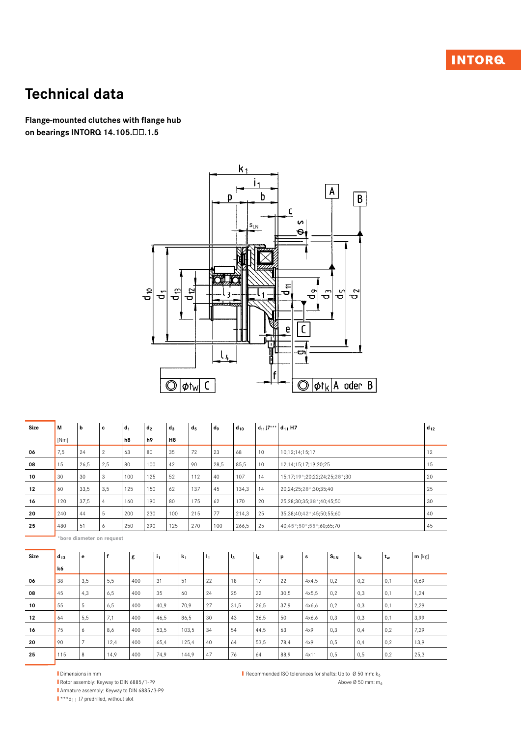# **INTORQ**

# **Technical data**

Flange-mounted clutches with flange hub on bearings INTORQ 14.105.00.1.5



| <b>Size</b> | М        | b              | c                         | $d_1$ | d <sub>2</sub> | $d_3$          | d <sub>5</sub> | do             | $d_{10}$ |       | $d_{11}$ J7*** $d_{11}$ H7 |                           |                               |         |                |          | $d_{12}$ |
|-------------|----------|----------------|---------------------------|-------|----------------|----------------|----------------|----------------|----------|-------|----------------------------|---------------------------|-------------------------------|---------|----------------|----------|----------|
|             | [Nm]     |                |                           | h8    | h9             | H <sub>8</sub> |                |                |          |       |                            |                           |                               |         |                |          |          |
| 06          | 7,5      | 24             | $\mathbf{2}$              | 63    | 80             | 35             | 72             | 23             | 68       | 10    | 10;12;14;15;17             |                           |                               |         |                |          | 12       |
| 08          | 15       | 26,5           | 2,5                       | 80    | 100            | 42             | 90             | 28,5           | 85,5     | 10    |                            | 12;14;15;17;19;20;25      |                               |         |                |          | 15       |
| 10          | 30       | 30             | 3                         | 100   | 125            | 52             | 112            | 40             | 107      | 14    |                            |                           | 15;17;19*;20;22;24;25;28*;30  |         |                |          | 20       |
| 12          | 60       | 33,5           | 3,5                       | 125   | 150            | 62             | 137            | 45             | 134,3    | 14    |                            | 20;24;25;28 *;30;35;40    |                               |         |                |          | 25       |
| 16          | 120      | 37.5           | $\overline{4}$            | 160   | 190            | 80             | 175            | 62             | 170      | 20    |                            | 25;28;30;35;38 *;40;45;50 |                               |         |                |          | 30       |
| 20          | 240      | 44             | 5                         | 200   | 230            | 100            | 215            | 77             | 214,3    | 25    |                            | 35;38;40;42 *;45;50;55;60 |                               |         |                |          | 40       |
| 25          | 480      | 51             | 6                         | 250   | 290            | 125            | 270            | 100            | 266,5    | 25    |                            |                           | 40;45 *: 50 *: 55 *: 60;65;70 |         |                |          |          |
|             |          |                | *bore diameter on request |       |                |                |                |                |          |       |                            |                           |                               |         |                |          |          |
|             |          |                |                           |       |                |                |                |                |          |       |                            |                           |                               |         |                |          |          |
| Size        | $d_{13}$ | e              | $\mathsf f$               | g     | i <sub>1</sub> | k <sub>1</sub> |                | I <sub>1</sub> | $I_3$    | $I_4$ | p                          | s                         | $S_{LN}$                      | $t_{k}$ | $t_w$          | $m$ [kg] |          |
|             | k6       |                |                           |       |                |                |                |                |          |       |                            |                           |                               |         |                |          |          |
| 06          | 38       | 3,5            | 5,5                       | 400   | 31             | 51             |                | 22             | 18       | 17    | 22                         | 4x4,5                     | 0,2                           | 0,2     | 0,1            | 0,69     |          |
| 08          | 45       | 4,3            | 6.5                       | 400   | 35             | 60             |                | 24             | 25       | 22    | 30.5                       | 4x5.5                     | 0,2                           | 0,3     | 0,1            | 1,24     |          |
| 10          | 55       | 5              | 6,5                       | 400   | 40,9           | 70,9           |                | 27             | 31,5     | 26,5  | 37,9                       | 4x6,6                     | 0,2                           | 0,3     | 0,1            | 2,29     |          |
| 12          | 64       | 5,5            | 7,1                       | 400   | 46,5           | 86,5           |                | 30             | 43       | 36,5  | 50                         | 4x6,6                     | 0,3                           | 0,3     | 0,1            | 3,99     |          |
| 16          | 75       | 6              | 8,6                       | 400   | 53,5           |                | 103,5          | 34             | 54       | 44,5  | 63                         | 4x9                       | 0,3                           | 0,4     | 0,2            | 7,29     |          |
| 20          | 90       | $\overline{7}$ | 12,4                      | 400   | 65,4           |                | 125,4          | 40             | 64       | 53,5  | 78,4                       | 4x9                       | 0,5                           | 0,4     | 0,2            | 13,9     |          |
| 25          | 115      | $\mathsf{R}$   | 149                       | 400   | 749            |                | 1449           | 47             | 76       | 64    | 889                        | 4x11                      | 0.5                           | 0.5     | 0 <sub>2</sub> | 25.3     |          |

Dimensions in mm Rotor assembly: Keyway to DIN 6885/1-P9 Armature assembly: Keyway to DIN 6885/3-P9

 $\mathbf{I} \cdot \cdot \cdot \cdot \mathbf{d}_{11}$  J7 predrilled, without slot

Recommended ISO tolerances for shafts: Up to  $\emptyset$  50 mm:  $k_6$ Above Ø 50 mm: m<sub>6</sub>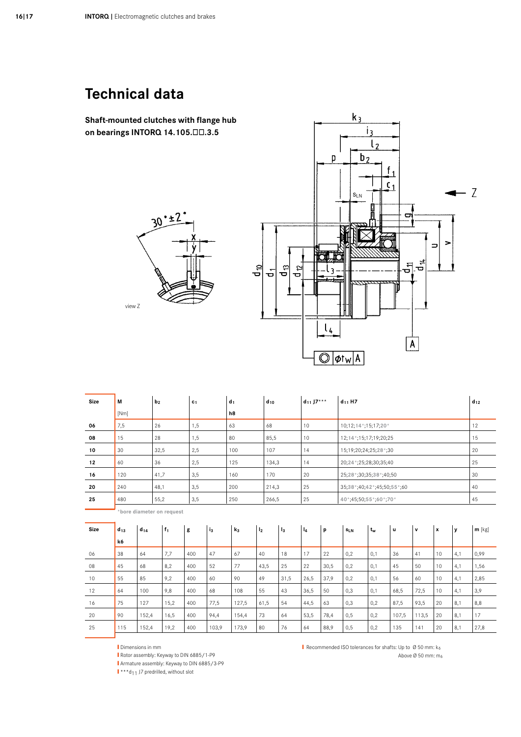Shaft-mounted clutches with flange hub on bearings INTORQ 14.105.00.3.5





| <b>Size</b> | М                         |          | b <sub>2</sub> |       | c <sub>1</sub> |       | $d_1$          | $d_{10}$       |       | $d_{11} J7***$ |                       | $d_{11}$ H7                  |       |             |             |                    |              | $d_{12}$ |
|-------------|---------------------------|----------|----------------|-------|----------------|-------|----------------|----------------|-------|----------------|-----------------------|------------------------------|-------|-------------|-------------|--------------------|--------------|----------|
|             | [Nm]                      |          |                |       |                |       | h8             |                |       |                |                       |                              |       |             |             |                    |              |          |
| 06          | 7,5                       |          | 26             |       | 1,5            |       | 63             | 68             |       | 10             |                       | 10;12;14*;15;17;20*          |       |             |             |                    |              | 12       |
| 08          | 15                        |          | 28             |       | 1,5            |       | 80             | 85,5           |       | 10             |                       | 12; 14 *; 15; 17; 19; 20; 25 |       |             |             |                    |              | 15       |
| 10          | 30                        |          | 32,5           |       | 2,5            |       | 100            | 107            |       | 14             |                       | 15;19;20;24;25;28*;30        |       |             |             |                    |              | 20       |
| 12          | 60                        |          | 36             |       | 2,5            |       | 125            | 134,3          |       | 14             |                       | 20;24*;25;28;30;35;40        |       |             |             |                    |              | 25       |
| 16          | 120                       |          | 41,7           |       | 3,5            |       | 160            | 170            |       | 20             |                       | 25;28*;30;35;38*;40;50       |       |             |             |                    |              | 30       |
| 20          | 240                       |          | 48,1           |       | 3,5            |       | 200            | 214,3          |       | 25             |                       | 35;38*;40;42*;45;50;55*;60   |       |             |             |                    |              | 40       |
| 25          | 55,2<br>480               |          |                | 3,5   |                | 250   | 266,5          |                | 25    |                | 40*;45;50;55*;60*;70* |                              |       |             |             |                    | 45           |          |
|             | *bore diameter on request |          |                |       |                |       |                |                |       |                |                       |                              |       |             |             |                    |              |          |
|             |                           |          |                |       |                |       |                |                |       |                |                       |                              |       |             |             |                    |              |          |
| <b>Size</b> | $d_{13}$                  | $d_{14}$ |                | $f_1$ | g              | iз    | k <sub>3</sub> | I <sub>2</sub> | $l_3$ | l <sub>4</sub> | p                     | SLN                          | $t_w$ | $\mathbf u$ | $\mathbf v$ | $\pmb{\mathsf{x}}$ | $\mathbf{y}$ | $m$ [kg] |
|             | k6                        |          |                |       |                |       |                |                |       |                |                       |                              |       |             |             |                    |              |          |
| 06          | 38                        | 64       |                | 7,7   | 400            | 47    | 67             | 40             | 18    | 17             | 22                    | 0,2                          | 0,1   | 36          | 41          | 10                 | 4,1          | 0,99     |
| 08          | 45                        | 68       |                | 8,2   | 400            | 52    | 77             | 43,5           | 25    | 22             | 30,5                  | 0,2                          | 0,1   | 45          | 50          | 10                 | 4,1          | 1,56     |
| 10          | 55                        | 85       |                | 9,2   | 400            | 60    | 90             | 49             | 31,5  | 26,5           | 37,9                  | 0,2                          | 0,1   | 56          | 60          | 10                 | 4,1          | 2,85     |
| 12          | 64                        | 100      |                | 9,8   | 400            | 68    | 108            | 55             | 43    | 36,5           | 50                    | 0,3                          | 0,1   | 68,5        | 72,5        | 10                 | 4,1          | 3,9      |
| 16          | 75                        | 127      |                | 15,2  | 400            | 77,5  | 127,5          | 61,5           | 54    | 44,5           | 63                    | 0,3                          | 0,2   | 87,5        | 93,5        | 20                 | 8,1          | 8,8      |
| 20          | 90                        | 152,4    |                | 16,5  | 400            | 94,4  | 154,4          | 73             | 64    | 53,5           | 78,4                  | 0,5                          | 0,2   | 107,5       | 113,5       | 20                 | 8,1          | 17       |
| 25          | 115                       | 152,4    |                | 19,2  | 400            | 103,9 | 173,9          | 80             | 76    | 64             | 88,9                  | 0,5                          | 0,2   | 135         | 141         | 20                 | 8,1          | 27,8     |

Dimensions in mm

Rotor assembly: Keyway to DIN 6885/1-P9

Armature assembly: Keyway to DIN 6885/3-P9

 $\mathbf{I}$  \*\*\* $d_{11}$  J7 predrilled, without slot

Recommended ISO tolerances for shafts: Up to  $\emptyset$  50 mm:  $k_6$ 

Above Ø 50 mm: m<sub>6</sub>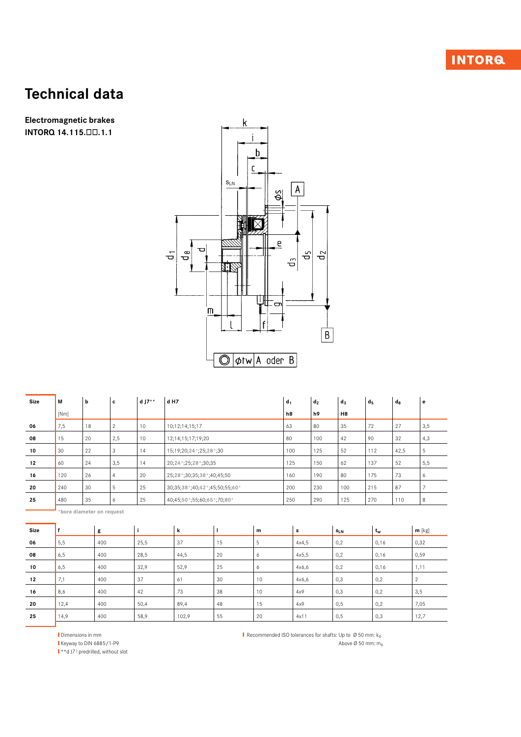Electromagnetic brakes INTORQ 14.115.00.1.1



| Size | М    | b  | c   | d J $7**$ | d H7                          | d <sub>1</sub> | $d_2$ | $d_3$          | d <sub>5</sub> | $d_8$ | е   |
|------|------|----|-----|-----------|-------------------------------|----------------|-------|----------------|----------------|-------|-----|
|      | [Nm] |    |     |           |                               | h8             | h9    | H <sub>8</sub> |                |       |     |
| 06   | 7,5  | 18 | 2   | 10        | 10:12:14:15:17                | 63             | 80    | 35             | 72             | 27    | 3,5 |
| 08   | 15   | 20 | 2,5 | 10        | 12;14;15;17;19;20             | 80             | 100   | 42             | 90             | 32    | 4,3 |
| 10   | 30   | 22 | 3   | 14        | 15;19;20;24*;25;28*;30        | 100            | 125   | 52             | 112            | 42,5  | 5   |
| 12   | 60   | 24 | 3,5 | 14        | 20;24*;25;28*;30;35           | 125            | 150   | 62             | 137            | 52    | 5,5 |
| 16   | 120  | 26 | 4   | 20        | 25;28 *;30;35;38 *;40;45;50   | 160            | 190   | 80             | 175            | 73    | 6   |
| 20   | 240  | 30 | 5   | 25        | 30;35;38*;40;42*;45;50;55;60* | 200            | 230   | 100            | 215            | 87    |     |
| 25   | 480  | 35 | 6   | 25        | 40;45;50*;55;60;65*;70;80*    | 250            | 290   | 125            | 270            | 110   | 8   |

 $\frac{1}{\sqrt{2}}$  \*bore diameter on request

| Size |      | g   |      | k     |    | m  | s     | $s_{LN}$ | t <sub>w</sub> | $m$ [kg] |
|------|------|-----|------|-------|----|----|-------|----------|----------------|----------|
| 06   | 5,5  | 400 | 25,5 | 37    | 15 | 5  | 4x4,5 | 0,2      | 0,16           | 0,32     |
| 08   | 6,5  | 400 | 28,5 | 44,5  | 20 | 6  | 4x5,5 | 0,2      | 0,16           | 0,59     |
| 10   | 6,5  | 400 | 32,9 | 52,9  | 25 | 6  | 4x6,6 | 0,2      | 0,16           | 1,11     |
| 12   | 7,1  | 400 | 37   | 61    | 30 | 10 | 4x6,6 | 0,3      | 0,2            | 2        |
| 16   | 8,6  | 400 | 42   | 73    | 38 | 10 | 4x9   | 0,3      | 0,2            | 3,5      |
| 20   | 12,4 | 400 | 50,4 | 89,4  | 48 | 15 | 4x9   | 0,5      | 0,2            | 7,05     |
| 25   | 14,9 | 400 | 58,9 | 102,9 | 55 | 20 | 4x11  | 0,5      | 0,3            | 12,7     |

Dimensions in mm

Keyway to DIN 6885/1-P9

 $\mathbf{I} \cdot \mathbf{A}$  (17) predrilled, without slot

Recommended ISO tolerances for shafts: Up to Ø 50 mm: k6 Above  $\varnothing$  50 mm:  $m_6$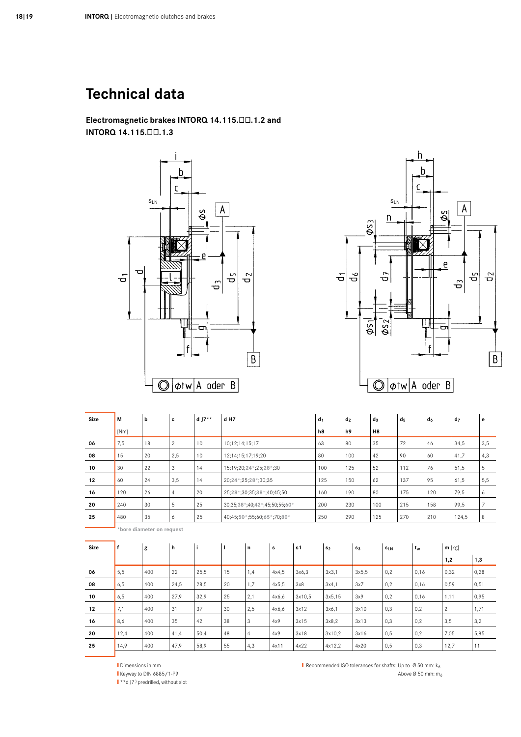Electromagnetic brakes INTORQ 14.115.00.1.2 and INTORQ 14.115.00.1.3





| <b>Size</b> | M    | þ                         | c              | d $17**$ | d H7                          |                            |       |        | d <sub>1</sub> | d <sub>2</sub> |                | $d_3$          |            | d <sub>5</sub> |       | d <sub>6</sub> |                       | d <sub>7</sub> | e    |
|-------------|------|---------------------------|----------------|----------|-------------------------------|----------------------------|-------|--------|----------------|----------------|----------------|----------------|------------|----------------|-------|----------------|-----------------------|----------------|------|
|             | [Nm] |                           |                |          |                               |                            |       |        | h8             | h9             |                | H <sub>8</sub> |            |                |       |                |                       |                |      |
| 06          | 7,5  | 18                        | $\overline{2}$ | 10       | 10;12;14;15;17                |                            |       |        | 63             | 80             |                | 35             |            | 72             |       | 46             |                       | 34,5           | 3,5  |
| 08          | 15   | 20                        | 2,5            | 10       |                               | 12;14;15;17;19;20          |       |        | 80             | 100            |                | 42             |            | 90             |       | 60             |                       | 41,7           | 4,3  |
| 10          | 30   | 22                        | 3              | 14       |                               | 15;19;20;24*;25;28*;30     |       |        | 100            | 125            |                | 52             |            | 112            |       | 76             |                       | 51,5           | 5    |
| 12          | 60   | 24                        | 3,5            | 14       |                               | 20;24*;25;28*;30;35        |       |        | 125            | 150            |                | 62             |            | 137            |       | 95             |                       | 61,5           | 5,5  |
| 16          | 120  | 26                        | $\overline{4}$ | 20       |                               | 25;28*;30;35;38*;40;45;50  |       |        | 160            | 190            |                | 80             |            | 175            |       | 120            |                       | 79,5           | 6    |
| 20          | 240  | 30                        | 5              | 25       | 30;35;38*;40;42*;45;50;55;60* | 200                        | 230   |        | 100            |                | 215            |                | 158        |                | 99,5  | $\overline{7}$ |                       |                |      |
| 25          | 480  | 35                        | 6              | 25       |                               | 40;45;50*;55;60;65*;70;80* | 250   | 290    |                | 125            |                | 270            |            | 210            |       | 124,5          | 8                     |                |      |
|             |      | *bore diameter on request |                |          |                               |                            |       |        |                |                |                |                |            |                |       |                |                       |                |      |
| <b>Size</b> | f    | g                         | h              | j.       | $\mathbf{I}$                  | n                          | s     | s1     | s <sub>2</sub> |                | s <sub>3</sub> |                | <b>SLN</b> |                | $t_w$ |                | $m$ [kg]              |                |      |
|             |      |                           |                |          |                               |                            |       |        |                |                |                |                |            |                |       |                | 1,2                   |                | 1,3  |
| 06          | 5,5  | 400                       | 22             | 25,5     | 15                            | 1,4                        | 4x4,5 | 3x6,3  | 3x3.1          |                | 3x5,5          |                | 0,2        |                | 0,16  |                | 0,32                  |                | 0,28 |
| 08          | 6,5  | 400                       | 24,5           | 28,5     | 20                            | 1,7                        | 4x5,5 | 3x8    | 3x4.1          |                | 3x7            |                | 0,2        |                | 0,16  |                | 0,59                  |                | 0,51 |
| 10          | 6,5  | 400                       | 27,9           | 32,9     | 25                            | 2,1                        | 4x6,6 | 3x10,5 | 3x5,15         |                | 3x9            |                | 0,2        |                | 0,16  |                | 1,11                  |                | 0,95 |
| 12          | 7,1  | 400                       | 31             | 37       | 30                            | 2,5                        | 4x6,6 | 3x12   | 3x6,1          |                | 3x10           |                | 0,3        |                | 0,2   |                | $\mathbf{2}^{\prime}$ |                | 1,71 |
| 16          | 8,6  | 400                       | 35             | 42       | 38                            | 3                          | 4x9   | 3x15   | 3x8.2          |                | 3x13           |                | 0,3        |                | 0,2   |                | 3,5                   |                | 3,2  |
| 20          | 12,4 | 400                       | 41,4           | 50,4     | 48                            | $\overline{4}$             | 4x9   | 3x18   | 3x10,2         |                | 3x16           |                | 0,5        |                | 0,2   |                | 7,05                  |                | 5,85 |
| 25          | 14.9 | 400                       | 47.9           | 58.9     | 55                            | 4.3                        | 4x11  | 4x22   | 4x12.2         |                | 4x20           |                | 0.5        |                | 0.3   |                | 12.7                  |                | 11   |

Dimensions in mm I Keyway to DIN 6885/1-P9<br>I \*\*d J7<sup>)</sup> predrilled, without slot Recommended ISO tolerances for shafts: Up to  $\emptyset$  50 mm:  $k_6$ Above  $\varnothing$  50 mm: m<sub>6</sub>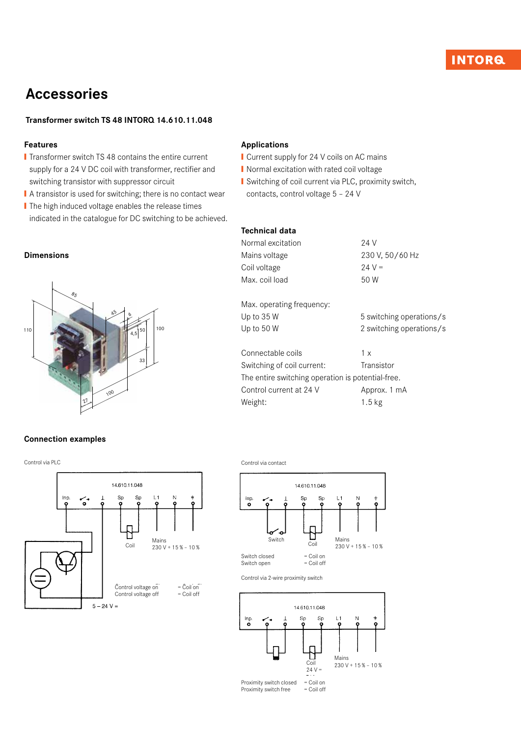# **INTORQ**

# Accessories

## Transformer switch TS 48 INTORQ 14.610.11.048

### Features

- **■** Transformer switch TS 48 contains the entire current supply for a 24 V DC coil with transformer, rectifier and switching transistor with suppressor circuit
- A transistor is used for switching; there is no contact wear
- The high induced voltage enables the release times indicated in the catalogue for DC switching to be achieved.

#### Dimensions



### Connection examples

Control via PLC



## Applications

- Current supply for 24 V coils on AC mains
- Normal excitation with rated coil voltage
- Switching of coil current via PLC, proximity switch,
- contacts, control voltage 5 24 V

#### Technical data

| Normal excitation | 24 V            |
|-------------------|-----------------|
| Mains voltage     | 230 V, 50/60 Hz |
| Coil voltage      | $24 V =$        |
| Max. coil load    | 50 W            |
|                   |                 |

Max. operating frequency: Up to 35 W 5 switching operations/s Up to 50 W 2 switching operations/s

| 1 x                                               |
|---------------------------------------------------|
| Transistor                                        |
| The entire switching operation is potential-free. |
| Approx. 1 mA                                      |
| $1.5$ kg                                          |
|                                                   |

Control via contact



Control via 2-wire proximity switch



Proximity switch closed = Coil on<br>Proximity switch free = Coil off Proximity switch free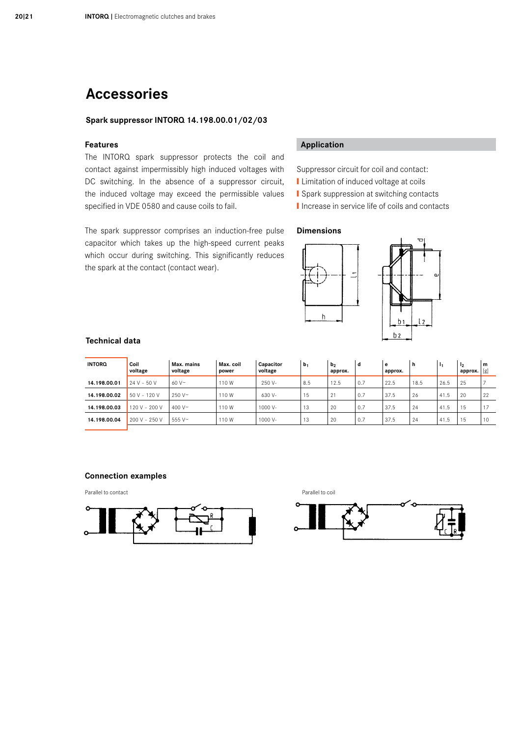# Accessories

### Spark suppressor INTORQ 14.198.00.01/02/03

### Features

The INTORQ spark suppressor protects the coil and contact against impermissibly high induced voltages with DC switching. In the absence of a suppressor circuit, the induced voltage may exceed the permissible values specified in VDE 0580 and cause coils to fail.

The spark suppressor comprises an induction-free pulse capacitor which takes up the high-speed current peaks which occur during switching. This significantly reduces the spark at the contact (contact wear).

## Application

Suppressor circuit for coil and contact:

- **■** Limitation of induced voltage at coils
- **■** Spark suppression at switching contacts
- **■** Increase in service life of coils and contacts

#### Dimensions



#### Technical data

| <b>INTORQ</b> | Coil<br>voltage | Max. mains<br>voltage | Max. coil<br>power | Capacitor<br>voltage | b <sub>1</sub> | b <sub>2</sub><br>approx. | d   | e<br>approx. | h    | -11  | 12<br>approx. $ g $ | ۱m  |
|---------------|-----------------|-----------------------|--------------------|----------------------|----------------|---------------------------|-----|--------------|------|------|---------------------|-----|
| 14.198.00.01  | $24 V - 50 V$   | $60V$ ~               | 110W               | 250 V-               | 8.5            | 12.5                      | 0.7 | 22.5         | 18.5 | 26.5 | 25                  |     |
| 14.198.00.02  | 50 V - 120 V    | $250V -$              | 110W               | 630 V-               | 15             | 21                        | 0.7 | 37.5         | 26   | 41.5 | 20                  | 22  |
| 14.198.00.03  | 120 V - 200 V   | 400 V $\sim$          | 110W               | 1000 V-              | 13             | 20                        | 0.7 | 37.5         | 24   | 41.5 | 15                  | $-$ |
| 14.198.00.04  | 200 V - 250 V   | 555 V~                | 110W               | 1000 V-              | 13             | 20                        | 0.7 | 37.5         | -24  | 41.5 | 15                  | 10  |
|               |                 |                       |                    |                      |                |                           |     |              |      |      |                     |     |

#### Connection examples





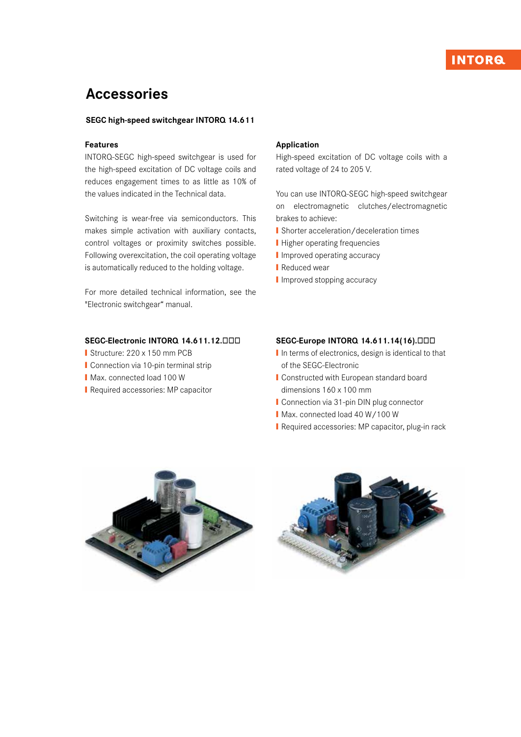# **INTORG**

# Accessories

### SEGC high-speed switchgear INTORQ 14.611

#### Features

INTORQ-SEGC high-speed switchgear is used for the high-speed excitation of DC voltage coils and reduces engagement times to as little as 10% of the values indicated in the Technical data.

Switching is wear-free via semiconductors. This makes simple activation with auxiliary contacts, control voltages or proximity switches possible. Following overexcitation, the coil operating voltage is automatically reduced to the holding voltage.

For more detailed technical information, see the "Electronic switchgear" manual.

### SEGC-Electronic INTORQ 14.611.12.<sup>DDD</sup>

- Structure: 220 x 150 mm PCB
- Connection via 10-pin terminal strip
- Max. connected load 100 W
- **■** Required accessories: MP capacitor

#### Application

High-speed excitation of DC voltage coils with a rated voltage of 24 to 205 V.

You can use INTORQ-SEGC high-speed switchgear on electromagnetic clutches/electromagnetic brakes to achieve:

- **■** Shorter acceleration/deceleration times
- **■** Higher operating frequencies
- Improved operating accuracy
- **■** Reduced wear
- **I** Improved stopping accuracy

### SEGC-Europe INTORQ 14.611.14(16).<sup>ODD</sup>

- I In terms of electronics, design is identical to that of the SEGC-Electronic
- **■** Constructed with European standard board dimensions 160 x 100 mm
- Connection via 31-pin DIN plug connector
- Max. connected load 40 W/100 W
- **Ⅰ Required accessories: MP capacitor, plug-in rack**



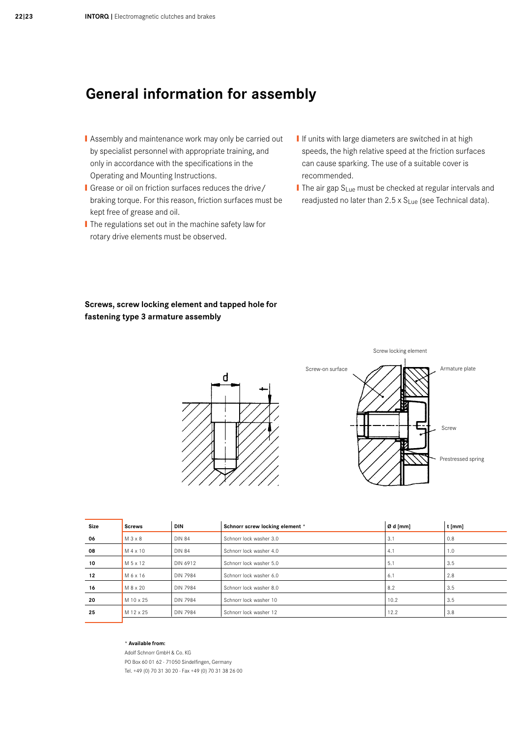# General information for assembly

- **I** Assembly and maintenance work may only be carried out by specialist personnel with appropriate training, and only in accordance with the specifications in the Operating and Mounting Instructions.
- **I** Grease or oil on friction surfaces reduces the drive/ braking torque. For this reason, friction surfaces must be kept free of grease and oil.
- The regulations set out in the machine safety law for rotary drive elements must be observed.
- **I** If units with large diameters are switched in at high speeds, the high relative speed at the friction surfaces can cause sparking. The use of a suitable cover is recommended.
- The air gap S<sub>Lue</sub> must be checked at regular intervals and readjusted no later than  $2.5 \times S_{\text{Lue}}$  (see Technical data).

# Screws, screw locking element and tapped hole for fastening type 3 armature assembly



| Size | <b>Screws</b> | <b>DIN</b>      | Schnorr screw locking element * | Ø d [mm] | t [mm] |
|------|---------------|-----------------|---------------------------------|----------|--------|
| 06   | $M3 \times 8$ | <b>DIN 84</b>   | Schnorr lock washer 3.0         | 3.1      | 0.8    |
| 08   | M 4 x 10      | <b>DIN 84</b>   | Schnorr lock washer 4.0         | 4.1      | 1.0    |
| 10   | M 5 x 12      | DIN 6912        | Schnorr lock washer 5.0         | 5.1      | 3.5    |
| 12   | M 6 x 16      | <b>DIN 7984</b> | Schnorr lock washer 6.0         | 6.1      | 2.8    |
| 16   | M 8 x 20      | <b>DIN 7984</b> | Schnorr lock washer 8.0         | 8.2      | 3.5    |
| 20   | M 10 x 25     | <b>DIN 7984</b> | Schnorr lock washer 10          | 10.2     | 3.5    |
| 25   | M 12 x 25     | <b>DIN 7984</b> | Schnorr lock washer 12          | 12.2     | 3.8    |
|      |               |                 |                                 |          |        |

#### \* Available from:

Adolf Schnorr GmbH & Co. KG PO Box 60 01 62 · 71050 Sindelfingen, Germany Tel. +49 (0) 70 31 30 20 · Fax +49 (0) 70 31 38 26 00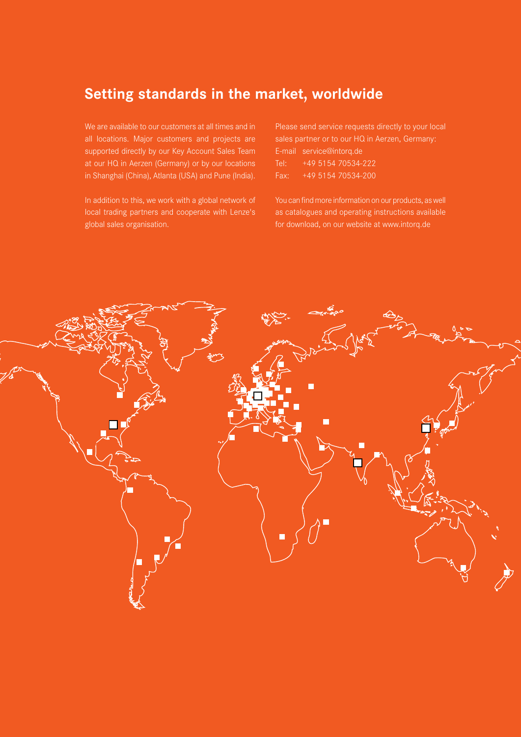# Setting standards in the market, worldwide

We are available to our customers at all times and in all locations. Major customers and projects are supported directly by our Key Account Sales Team at our HQ in Aerzen (Germany) or by our locations in Shanghai (China), Atlanta (USA) and Pune (India).

In addition to this, we work with a global network of local trading partners and cooperate with Lenze's global sales organisation.

Please send service requests directly to your local sales partner or to our HQ in Aerzen, Germany: E-mail service@intorq.de Tel: +49 5154 70534-222 Fax: +49 5154 70534-200

You can find more information on our products, as well as catalogues and operating instructions available for download, on our website at www.intorq.de